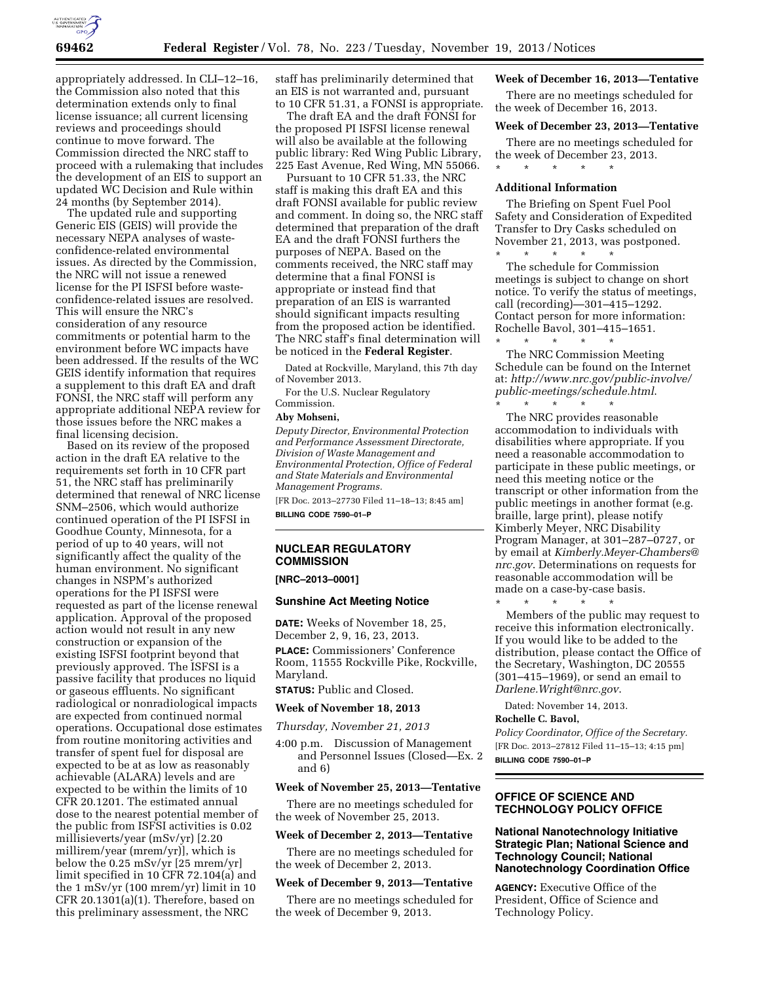

appropriately addressed. In CLI–12–16, the Commission also noted that this determination extends only to final license issuance; all current licensing reviews and proceedings should continue to move forward. The Commission directed the NRC staff to proceed with a rulemaking that includes the development of an EIS to support an updated WC Decision and Rule within 24 months (by September 2014).

The updated rule and supporting Generic EIS (GEIS) will provide the necessary NEPA analyses of wasteconfidence-related environmental issues. As directed by the Commission, the NRC will not issue a renewed license for the PI ISFSI before wasteconfidence-related issues are resolved. This will ensure the NRC's consideration of any resource commitments or potential harm to the environment before WC impacts have been addressed. If the results of the WC GEIS identify information that requires a supplement to this draft EA and draft FONSI, the NRC staff will perform any appropriate additional NEPA review for those issues before the NRC makes a final licensing decision.

Based on its review of the proposed action in the draft EA relative to the requirements set forth in 10 CFR part 51, the NRC staff has preliminarily determined that renewal of NRC license SNM–2506, which would authorize continued operation of the PI ISFSI in Goodhue County, Minnesota, for a period of up to 40 years, will not significantly affect the quality of the human environment. No significant changes in NSPM's authorized operations for the PI ISFSI were requested as part of the license renewal application. Approval of the proposed action would not result in any new construction or expansion of the existing ISFSI footprint beyond that previously approved. The ISFSI is a passive facility that produces no liquid or gaseous effluents. No significant radiological or nonradiological impacts are expected from continued normal operations. Occupational dose estimates from routine monitoring activities and transfer of spent fuel for disposal are expected to be at as low as reasonably achievable (ALARA) levels and are expected to be within the limits of 10 CFR 20.1201. The estimated annual dose to the nearest potential member of the public from ISFSI activities is 0.02 millisieverts/year (mSv/yr) [2.20 millirem/year (mrem/yr)], which is below the 0.25 mSv/yr [25 mrem/yr] limit specified in 10 CFR 72.104(a) and the 1 mSv/yr (100 mrem/yr) limit in 10 CFR 20.1301(a)(1). Therefore, based on this preliminary assessment, the NRC

staff has preliminarily determined that an EIS is not warranted and, pursuant to 10 CFR 51.31, a FONSI is appropriate.

The draft EA and the draft FONSI for the proposed PI ISFSI license renewal will also be available at the following public library: Red Wing Public Library, 225 East Avenue, Red Wing, MN 55066.

Pursuant to 10 CFR 51.33, the NRC staff is making this draft EA and this draft FONSI available for public review and comment. In doing so, the NRC staff determined that preparation of the draft EA and the draft FONSI furthers the purposes of NEPA. Based on the comments received, the NRC staff may determine that a final FONSI is appropriate or instead find that preparation of an EIS is warranted should significant impacts resulting from the proposed action be identified. The NRC staff's final determination will be noticed in the **Federal Register**.

Dated at Rockville, Maryland, this 7th day of November 2013.

For the U.S. Nuclear Regulatory Commission.

## **Aby Mohseni,**

*Deputy Director, Environmental Protection and Performance Assessment Directorate, Division of Waste Management and Environmental Protection, Office of Federal and State Materials and Environmental Management Programs.* 

[FR Doc. 2013–27730 Filed 11–18–13; 8:45 am] **BILLING CODE 7590–01–P** 

# **NUCLEAR REGULATORY COMMISSION**

**[NRC–2013–0001]** 

## **Sunshine Act Meeting Notice**

**DATE:** Weeks of November 18, 25, December 2, 9, 16, 23, 2013. **PLACE:** Commissioners' Conference Room, 11555 Rockville Pike, Rockville, Maryland.

**STATUS:** Public and Closed.

## **Week of November 18, 2013**

*Thursday, November 21, 2013* 

4:00 p.m. Discussion of Management and Personnel Issues (Closed—Ex. 2 and 6)

## **Week of November 25, 2013—Tentative**

There are no meetings scheduled for the week of November 25, 2013.

## **Week of December 2, 2013—Tentative**

There are no meetings scheduled for the week of December 2, 2013.

## **Week of December 9, 2013—Tentative**

There are no meetings scheduled for the week of December 9, 2013.

## **Week of December 16, 2013—Tentative**

There are no meetings scheduled for the week of December 16, 2013.

#### **Week of December 23, 2013—Tentative**

There are no meetings scheduled for the week of December 23, 2013. \* \* \* \* \*

#### **Additional Information**

The Briefing on Spent Fuel Pool Safety and Consideration of Expedited Transfer to Dry Casks scheduled on November 21, 2013, was postponed.

\* \* \* \* \* The schedule for Commission meetings is subject to change on short notice. To verify the status of meetings, call (recording)—301–415–1292. Contact person for more information: Rochelle Bavol, 301–415–1651.

\* \* \* \* \* The NRC Commission Meeting Schedule can be found on the Internet at: *[http://www.nrc.gov/public-involve/](http://www.nrc.gov/public-involve/public-meetings/schedule.html) [public-meetings/schedule.html](http://www.nrc.gov/public-involve/public-meetings/schedule.html)*.

\* \* \* \* \* The NRC provides reasonable accommodation to individuals with disabilities where appropriate. If you need a reasonable accommodation to participate in these public meetings, or need this meeting notice or the transcript or other information from the public meetings in another format (e.g. braille, large print), please notify Kimberly Meyer, NRC Disability Program Manager, at 301–287–0727, or by email at *[Kimberly.Meyer-Chambers@](mailto:Kimberly.Meyer-Chambers@nrc.gov) [nrc.gov](mailto:Kimberly.Meyer-Chambers@nrc.gov)*. Determinations on requests for reasonable accommodation will be made on a case-by-case basis.

\* \* \* \* \* Members of the public may request to receive this information electronically. If you would like to be added to the distribution, please contact the Office of the Secretary, Washington, DC 20555 (301–415–1969), or send an email to *[Darlene.Wright@nrc.gov](mailto:Darlene.Wright@nrc.gov)*.

Dated: November 14, 2013.

## **Rochelle C. Bavol,**

*Policy Coordinator, Office of the Secretary.*  [FR Doc. 2013–27812 Filed 11–15–13; 4:15 pm] **BILLING CODE 7590–01–P** 

# **OFFICE OF SCIENCE AND TECHNOLOGY POLICY OFFICE**

# **National Nanotechnology Initiative Strategic Plan; National Science and Technology Council; National Nanotechnology Coordination Office**

**AGENCY:** Executive Office of the President, Office of Science and Technology Policy.